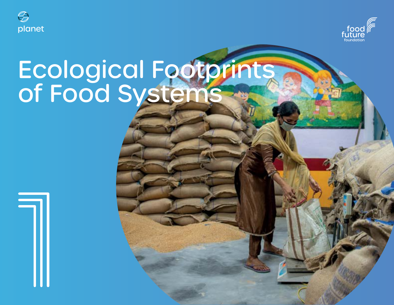

司



# Ecological Footprints of Food Systems

**Food Vision 2030 107**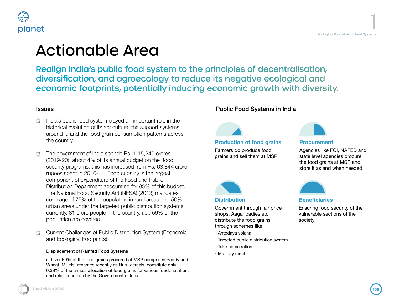### ble Area

ublic food system to the principles of decentralisation, ind agroecology to reduce its negative ecological and rints, potentially inducing economic growth with diversity.

im played an important role in the agriculture, the support systems grain consumption patterns across

 $a$  spends Rs. 1,15,240 crores its annual budget on the 'food has increased from Rs. 63,844 crore 1. Food subsidy is the largest Lire of the Food and Public accounting for 95% of this budget. Irity Act (NFSA) (2013) mandates population in rural areas and 50% in argeted public distribution systems; le in the country, i.e.,  $59\%$  of the

ublic Distribution System (Economic and Ecological Footprints)

#### bod Systems

ins procured at MSP comprises Paddy and ently as Nutri-cereals, constitute only on of food grains for various food, nutrition, overnment of India.

#### Public Food Systems in India



Farmers do produce food grains and sell them at MSP



#### **Distribution**

Government through fair price shops, Aaganbadies etc. distribute the food grains through schemes like

- Antodaya yojana
- Targeted public distribution system
- Take home ration
- Mid day meal



#### **Procurement**

Agencies like FCI, NAFED and state level agencies procure the food grains at MSP and store it as and when needed



#### **Beneficiaries**

Ensuring food security of the vulnerable sections of the society

planet

 $\mathbb{Z}$ 

Issues

the country.

population are covered.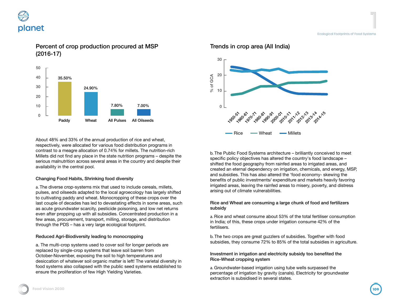## planet

(2016-17)



Percent of crop production procured at MSP

About 48% and 33% of the annual production of rice and wheat, respectively, were allocated for various food distribution programs in contrast to a meagre allocation of 0.74% for millets. The nutrition-rich Millets did not find any place in the state nutrition programs – despite the serious malnutrition across several areas in the country and despite their availability in the central pool.

#### Changing Food Habits, Shrinking food diversity

a. The diverse crop-systems mix that used to include cereals, millets, pulses, and oilseeds adapted to the local agroecology has largely shifted to cultivating paddy and wheat. Monocropping of these crops over the last couple of decades has led to devastating effects in some areas, such as acute groundwater scarcity, pesticide poisoning, and low net returns even after propping up with all subsidies. Concentrated production in a few areas, procurement, transport, milling, storage, and distribution through the PDS – has a very large ecological footprint.

#### Reduced Agri-Biodiversity leading to monocropping

a. The multi-crop systems used to cover soil for longer periods are replaced by single-crop systems that leave soil barren from October-November, exposing the soil to high temperatures and desiccation of whatever soil organic matter is left! The varietal diversity in food systems also collapsed with the public seed systems established to ensure the proliferation of few High Yielding Varieties.

#### Trends in crop area (All India)



b. The Public Food Systems architecture – brilliantly conceived to meet specific policy objectives has altered the country's food landscape – shifted the food geography from rainfed areas to irrigated areas, and created an eternal dependency on irrigation, chemicals, and energy, MSP, and subsidies. This has also altered the 'food economy- skewing the benefits of public investments/ expenditure and markets heavily favoring irrigated areas, leaving the rainfed areas to misery, poverty, and distress arising out of climate vulnerabilities.

#### Rice and Wheat are consuming a large chunk of food and fertilizers subsidy

a. Rice and wheat consume about 53% of the total fertiliser consumption in India; of this, these crops under irrigation consume 42% of the fertilisers.

b. The two crops are great guzzlers of subsidies. Together with food subsidies, they consume 72% to 85% of the total subsidies in agriculture.

#### Investment in irrigation and electricity subsidy too benefited the Rice-Wheat cropping system

a. Groundwater-based irrigation using tube wells surpassed the percentage of irrigation by gravity (canals). Electricity for groundwater extraction is subsidised in several states.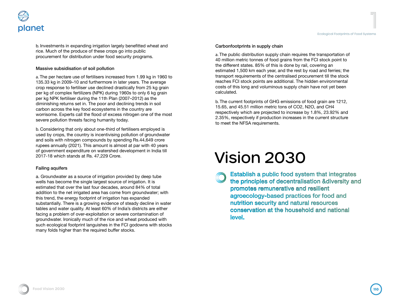## planet

b. Investments in expanding irrigation largely benefitted wheat and rice. Much of the produce of these crops go into public procurement for distribution under food security programs.

#### Massive subsidisation of soil pollution

a. The per hectare use of fertilisers increased from 1.99 kg in 1960 to 135.33 kg in 2009–10 and furthermore in later years. The average crop response to fertiliser use declined drastically from 25 kg grain per kg of complex fertilizers (NPK) during 1960s to only 6 kg grain per kg NPK fertiliser during the 11th Plan (2007–2012) as the diminishing returns set in. The poor and declining trends in soil carbon across the key food ecosystems in the country are worrisome. Experts call the flood of excess nitrogen one of the most severe pollution threats facing humanity today.

b. Considering that only about one-third of fertilisers employed is used by crops, the country is incentivising pollution of groundwater and soils with nitrogen compounds by spending Rs.44,649 crore rupees annually (2021). This amount is almost at par with 40 years of government expenditure on watershed development in India till 2017-18 which stands at Rs. 47,229 Crore.

#### Failing aquifers

a. Groundwater as a source of irrigation provided by deep tube wells has become the single largest source of irrigation. It is estimated that over the last four decades, around 84% of total addition to the net irrigated area has come from groundwater; with this trend, the energy footprint of irrigation has expanded substantially. There is a growing evidence of steady decline in water tables and water quality. At least 60% of India's districts are either facing a problem of over-exploitation or severe contamination of groundwater. Ironically much of the rice and wheat produced with such ecological footprint languishes in the FCI godowns with stocks many folds higher than the required buffer stocks.

#### Carbonfootprints in supply chain

a. The public distribution supply chain requires the transportation of 40 million metric tonnes of food grains from the FCI stock point to the different states. 85% of this is done by rail, covering an estimated 1,500 km each year, and the rest by road and ferries; the transport requirements of the centralised procurement till the stock reaches FCI stock points are additional. The hidden environmental costs of this long and voluminous supply chain have not yet been calculated.

b. The current footprints of GHG emissions of food grain are 1212, 15.65, and 45.51 million metric tons of CO2, N2O, and CH4 respectively which are projected to increase by 1.8%, 23.92% and 2.35%, respectively if production increases in the current structure to meet the NFSA requirements.

## Vision 2030

Establish a public food system that integrates the principles of decentralisation &diversity and promotes remunerative and resilient agroecology-based practices for food and nutrition security and natural resources conservation at the household and national level.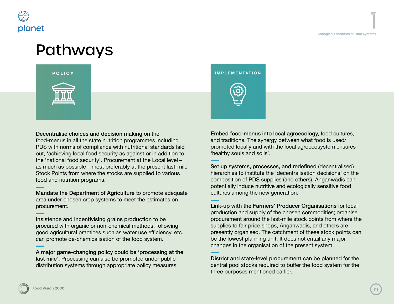

### Pathways



Decentralise choices and decision making on the food-menus in all the state nutrition programmes including PDS with norms of compliance with nutritional standards laid out, 'achieving local food security as against or in addition to the 'national food security'. Procurement at the Local level – as much as possible – most preferably at the present last-mile Stock Points from where the stocks are supplied to various food and nutrition programs.

Mandate the Department of Agriculture to promote adequate area under chosen crop systems to meet the estimates on procurement.

Insistence and incentivising grains production to be procured with organic or non-chemical methods, following good agricultural practices such as water use efficiency, etc., can promote de-chemicalisation of the food system.

A major game-changing policy could be 'processing at the last mile'. Processing can also be promoted under public distribution systems through appropriate policy measures.

**IMPLEMENTATION**

Embed food-menus into local agroecology, food cultures, and traditions. The synergy between what food is used/ promoted locally and with the local agroecosystem ensures 'healthy souls and soils'.

Set up systems, processes, and redefined (decentralised) hierarchies to institute the 'decentralisation decisions' on the composition of PDS supplies (and others). Anganwadis can potentially induce nutritive and ecologically sensitive food cultures among the new generation.

Link-up with the Farmers' Producer Organisations for local production and supply of the chosen commodities; organise procurement around the last-mile stock points from where the supplies to fair price shops, Anganwadis, and others are presently organised. The catchment of these stock points can be the lowest planning unit. It does not entail any major changes in the organisation of the present system.

District and state-level procurement can be planned for the central pool stocks required to buffer the food system for the three purposes mentioned earlier.